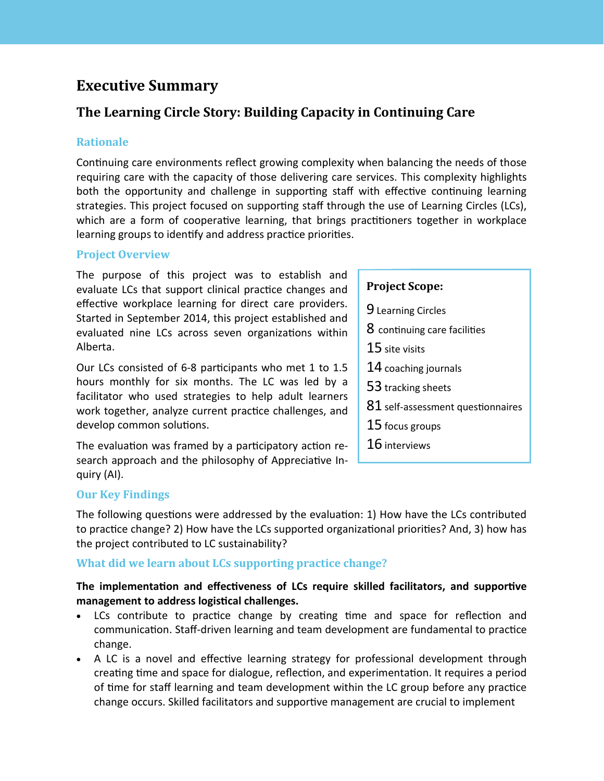# **Executive Summary**

## **The Learning Circle Story: Building Capacity in Continuing Care**

### **Rationale**

Continuing care environments reflect growing complexity when balancing the needs of those requiring care with the capacity of those delivering care services. This complexity highlights both the opportunity and challenge in supporting staff with effective continuing learning strategies. This project focused on supporting staff through the use of Learning Circles (LCs), which are a form of cooperative learning, that brings practitioners together in workplace learning groups to identify and address practice priorities.

### **Project Overview**

The purpose of this project was to establish and evaluate LCs that support clinical practice changes and effective workplace learning for direct care providers. Started in September 2014, this project established and evaluated nine LCs across seven organizations within Alberta.

Our LCs consisted of 6-8 participants who met 1 to 1.5 hours monthly for six months. The LC was led by a facilitator who used strategies to help adult learners work together, analyze current practice challenges, and develop common solutions.

The evaluation was framed by a participatory action research approach and the philosophy of Appreciative Inquiry (AI).

## **Our Key Findings**

The following questions were addressed by the evaluation: 1) How have the LCs contributed to practice change? 2) How have the LCs supported organizational priorities? And, 3) how has the project contributed to LC sustainability?

## **What did we learn about LCs supporting practice change?**

### **The implementaton and efectveness of LCs require skilled facilitators, and supportve management to address logistcal challenges.**

- LCs contribute to practice change by creating time and space for reflection and communication. Staff-driven learning and team development are fundamental to practice change.
- A LC is a novel and effective learning strategy for professional development through creatng tme and space for dialogue, refecton, and experimentaton. It requires a period of time for staff learning and team development within the LC group before any practice change occurs. Skilled facilitators and supportve management are crucial to implement

## **Project Scope:**

- 9 Learning Circles
- 8 continuing care facilities
- 15 site visits
- 14 coaching journals
- 53 tracking sheets
- $81$  self-assessment questionnaires
- 15 focus groups
- 16 interviews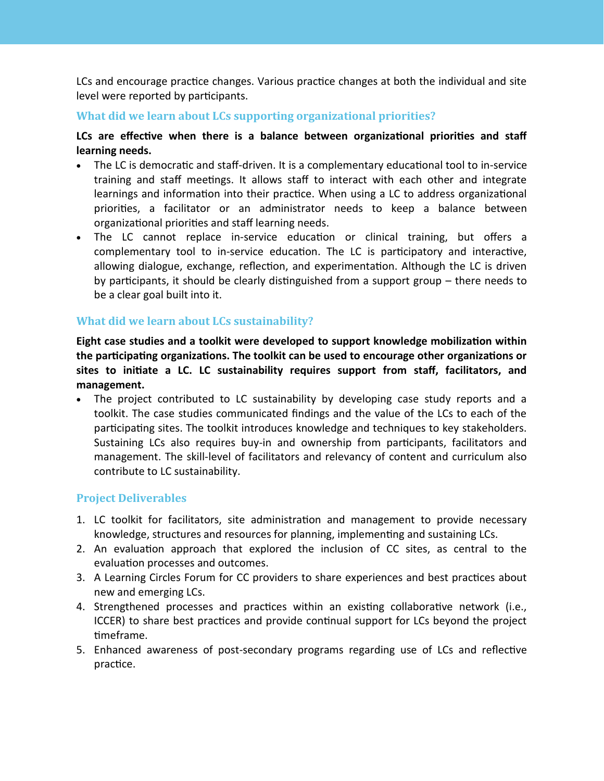LCs and encourage practice changes. Various practice changes at both the individual and site level were reported by participants.

### **What did we learn about LCs supporting organizational priorities?**

LCs are effective when there is a balance between organizational priorities and staff **learning needs.**

- $\bullet$  The LC is democratic and staff-driven. It is a complementary educational tool to in-service training and staff meetings. It allows staff to interact with each other and integrate learnings and information into their practice. When using a LC to address organizational priorites, a facilitator or an administrator needs to keep a balance between organizational priorities and staff learning needs.
- The LC cannot replace in-service education or clinical training, but offers a complementary tool to in-service education. The LC is participatory and interactive, allowing dialogue, exchange, reflection, and experimentation. Although the LC is driven by participants, it should be clearly distinguished from a support group – there needs to be a clear goal built into it.

### **What did we learn about LCs sustainability?**

Eight case studies and a toolkit were developed to support knowledge mobilization within **the partcipatng organizatons. The toolkit can be used to encourage other organizatons or sites to initate a LC. LC sustainability requires support from staf, facilitators, and management.**

• The project contributed to LC sustainability by developing case study reports and a toolkit. The case studies communicated fndings and the value of the LCs to each of the participating sites. The toolkit introduces knowledge and techniques to key stakeholders. Sustaining LCs also requires buy-in and ownership from participants, facilitators and management. The skill-level of facilitators and relevancy of content and curriculum also contribute to LC sustainability.

#### **Project Deliverables**

- 1. LC toolkit for facilitators, site administraton and management to provide necessary knowledge, structures and resources for planning, implementng and sustaining LCs.
- 2. An evaluation approach that explored the inclusion of CC sites, as central to the evaluation processes and outcomes.
- 3. A Learning Circles Forum for CC providers to share experiences and best practices about new and emerging LCs.
- 4. Strengthened processes and practices within an existing collaborative network (i.e., ICCER) to share best practices and provide continual support for LCs beyond the project timeframe.
- 5. Enhanced awareness of post-secondary programs regarding use of LCs and refectve practice.